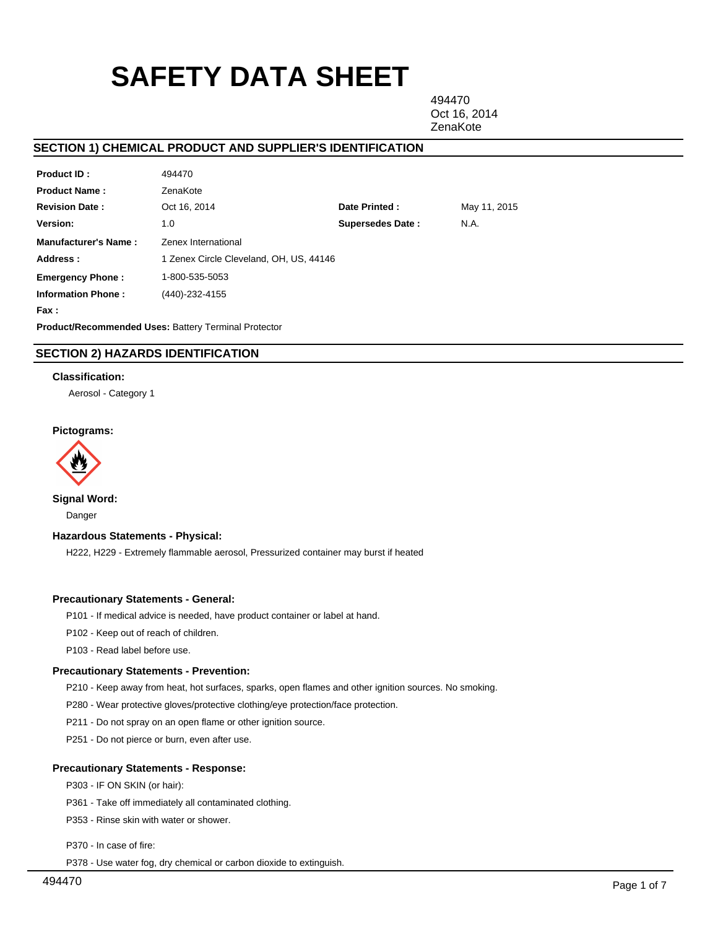# **SAFETY DATA SHEET**

494470 Oct 16, 2014 **ZenaKote** 

# **SECTION 1) CHEMICAL PRODUCT AND SUPPLIER'S IDENTIFICATION**

| Product ID:                 | 494470                                                      |                         |              |
|-----------------------------|-------------------------------------------------------------|-------------------------|--------------|
| <b>Product Name:</b>        | ZenaKote                                                    |                         |              |
| <b>Revision Date:</b>       | Oct 16, 2014                                                | Date Printed:           | May 11, 2015 |
| Version:                    | 1.0                                                         | <b>Supersedes Date:</b> | N.A.         |
| <b>Manufacturer's Name:</b> | Zenex International                                         |                         |              |
| Address:                    | 1 Zenex Circle Cleveland, OH, US, 44146                     |                         |              |
| <b>Emergency Phone:</b>     | 1-800-535-5053                                              |                         |              |
| <b>Information Phone:</b>   | (440)-232-4155                                              |                         |              |
| Fax :                       |                                                             |                         |              |
|                             | <b>Product/Recommended Uses: Battery Terminal Protector</b> |                         |              |

# **SECTION 2) HAZARDS IDENTIFICATION**

## **Classification:**

Aerosol - Category 1

## **Pictograms:**



**Signal Word:**

Danger

## **Hazardous Statements - Physical:**

H222, H229 - Extremely flammable aerosol, Pressurized container may burst if heated

## **Precautionary Statements - General:**

P101 - If medical advice is needed, have product container or label at hand.

P102 - Keep out of reach of children.

P103 - Read label before use.

## **Precautionary Statements - Prevention:**

P210 - Keep away from heat, hot surfaces, sparks, open flames and other ignition sources. No smoking.

P280 - Wear protective gloves/protective clothing/eye protection/face protection.

P211 - Do not spray on an open flame or other ignition source.

P251 - Do not pierce or burn, even after use.

## **Precautionary Statements - Response:**

P303 - IF ON SKIN (or hair):

P361 - Take off immediately all contaminated clothing.

P353 - Rinse skin with water or shower.

P370 - In case of fire:

P378 - Use water fog, dry chemical or carbon dioxide to extinguish.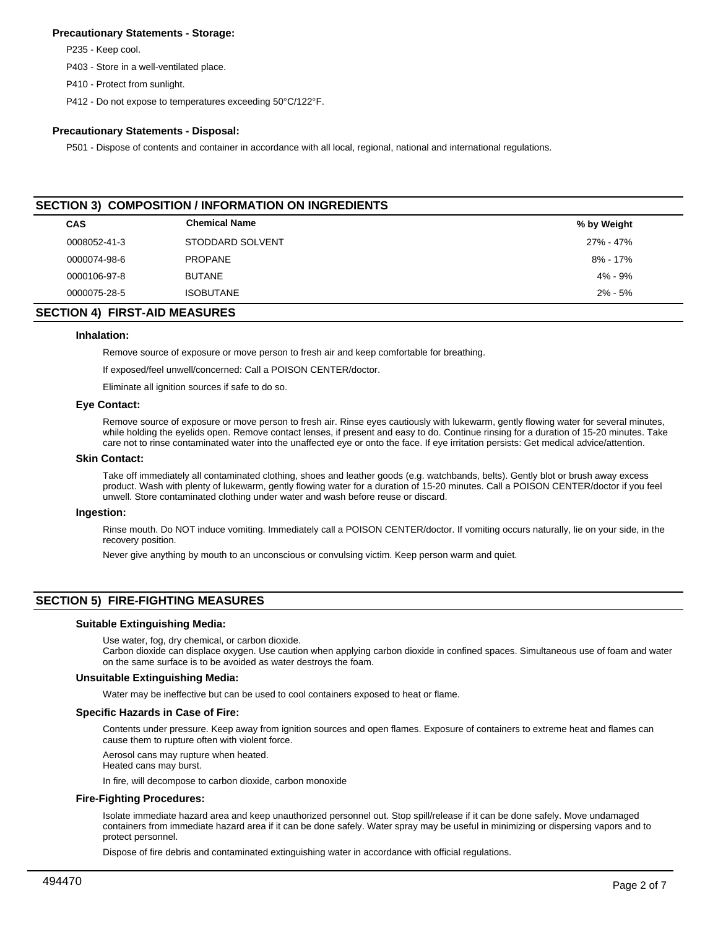## **Precautionary Statements - Storage:**

P235 - Keep cool.

P403 - Store in a well-ventilated place.

P410 - Protect from sunlight.

P412 - Do not expose to temperatures exceeding 50°C/122°F.

## **Precautionary Statements - Disposal:**

P501 - Dispose of contents and container in accordance with all local, regional, national and international regulations.

| <b>SECTION 3) COMPOSITION / INFORMATION ON INGREDIENTS</b> |                      |             |  |  |
|------------------------------------------------------------|----------------------|-------------|--|--|
| <b>CAS</b>                                                 | <b>Chemical Name</b> | % by Weight |  |  |
| 0008052-41-3                                               | STODDARD SOLVENT     | 27% - 47%   |  |  |
| 0000074-98-6                                               | <b>PROPANE</b>       | 8% - 17%    |  |  |
| 0000106-97-8                                               | <b>BUTANE</b>        | $4\% - 9\%$ |  |  |
| 0000075-28-5                                               | <b>ISOBUTANE</b>     | $2\% - 5\%$ |  |  |

# **SECTION 4) FIRST-AID MEASURES**

#### **Inhalation:**

Remove source of exposure or move person to fresh air and keep comfortable for breathing.

If exposed/feel unwell/concerned: Call a POISON CENTER/doctor.

Eliminate all ignition sources if safe to do so.

#### **Eye Contact:**

Remove source of exposure or move person to fresh air. Rinse eyes cautiously with lukewarm, gently flowing water for several minutes, while holding the eyelids open. Remove contact lenses, if present and easy to do. Continue rinsing for a duration of 15-20 minutes. Take care not to rinse contaminated water into the unaffected eye or onto the face. If eye irritation persists: Get medical advice/attention.

## **Skin Contact:**

Take off immediately all contaminated clothing, shoes and leather goods (e.g. watchbands, belts). Gently blot or brush away excess product. Wash with plenty of lukewarm, gently flowing water for a duration of 15-20 minutes. Call a POISON CENTER/doctor if you feel unwell. Store contaminated clothing under water and wash before reuse or discard.

#### **Ingestion:**

Rinse mouth. Do NOT induce vomiting. Immediately call a POISON CENTER/doctor. If vomiting occurs naturally, lie on your side, in the recovery position.

Never give anything by mouth to an unconscious or convulsing victim. Keep person warm and quiet.

# **SECTION 5) FIRE-FIGHTING MEASURES**

#### **Suitable Extinguishing Media:**

Use water, fog, dry chemical, or carbon dioxide.

Carbon dioxide can displace oxygen. Use caution when applying carbon dioxide in confined spaces. Simultaneous use of foam and water on the same surface is to be avoided as water destroys the foam.

### **Unsuitable Extinguishing Media:**

Water may be ineffective but can be used to cool containers exposed to heat or flame.

#### **Specific Hazards in Case of Fire:**

Contents under pressure. Keep away from ignition sources and open flames. Exposure of containers to extreme heat and flames can cause them to rupture often with violent force.

Aerosol cans may rupture when heated.

Heated cans may burst.

In fire, will decompose to carbon dioxide, carbon monoxide

## **Fire-Fighting Procedures:**

Isolate immediate hazard area and keep unauthorized personnel out. Stop spill/release if it can be done safely. Move undamaged containers from immediate hazard area if it can be done safely. Water spray may be useful in minimizing or dispersing vapors and to protect personnel.

Dispose of fire debris and contaminated extinguishing water in accordance with official regulations.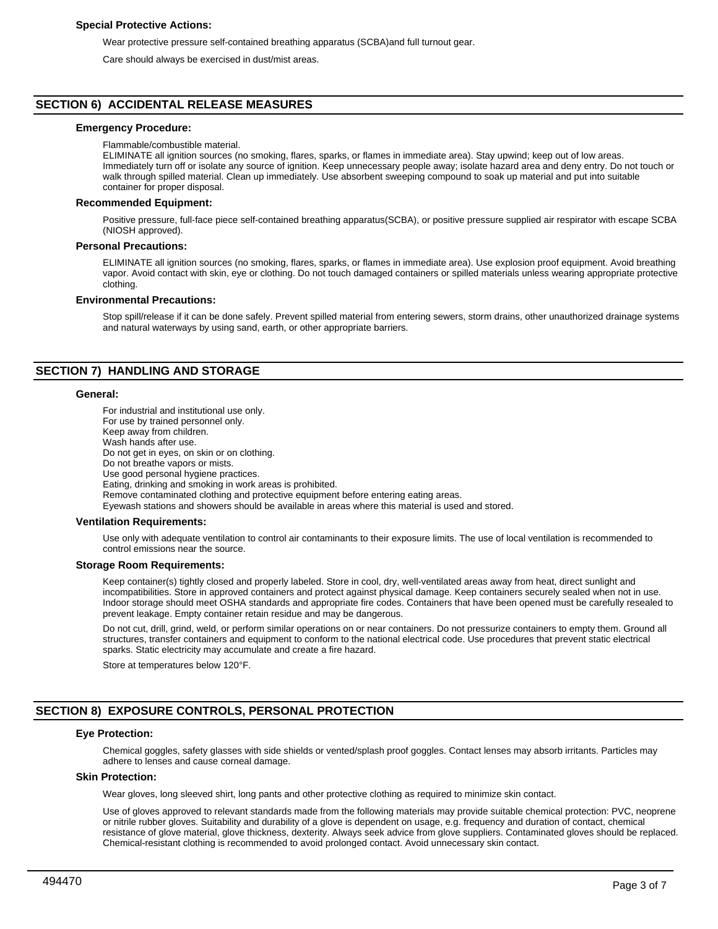## **Special Protective Actions:**

Wear protective pressure self-contained breathing apparatus (SCBA)and full turnout gear.

Care should always be exercised in dust/mist areas.

## **SECTION 6) ACCIDENTAL RELEASE MEASURES**

#### **Emergency Procedure:**

#### Flammable/combustible material.

ELIMINATE all ignition sources (no smoking, flares, sparks, or flames in immediate area). Stay upwind; keep out of low areas. Immediately turn off or isolate any source of ignition. Keep unnecessary people away; isolate hazard area and deny entry. Do not touch or walk through spilled material. Clean up immediately. Use absorbent sweeping compound to soak up material and put into suitable container for proper disposal.

#### **Recommended Equipment:**

Positive pressure, full-face piece self-contained breathing apparatus(SCBA), or positive pressure supplied air respirator with escape SCBA (NIOSH approved).

#### **Personal Precautions:**

ELIMINATE all ignition sources (no smoking, flares, sparks, or flames in immediate area). Use explosion proof equipment. Avoid breathing vapor. Avoid contact with skin, eye or clothing. Do not touch damaged containers or spilled materials unless wearing appropriate protective clothing.

#### **Environmental Precautions:**

Stop spill/release if it can be done safely. Prevent spilled material from entering sewers, storm drains, other unauthorized drainage systems and natural waterways by using sand, earth, or other appropriate barriers.

## **SECTION 7) HANDLING AND STORAGE**

## **General:**

For industrial and institutional use only. For use by trained personnel only. Keep away from children. Wash hands after use. Do not get in eyes, on skin or on clothing. Do not breathe vapors or mists. Use good personal hygiene practices. Eating, drinking and smoking in work areas is prohibited. Remove contaminated clothing and protective equipment before entering eating areas. Eyewash stations and showers should be available in areas where this material is used and stored.

## **Ventilation Requirements:**

Use only with adequate ventilation to control air contaminants to their exposure limits. The use of local ventilation is recommended to control emissions near the source.

#### **Storage Room Requirements:**

Keep container(s) tightly closed and properly labeled. Store in cool, dry, well-ventilated areas away from heat, direct sunlight and incompatibilities. Store in approved containers and protect against physical damage. Keep containers securely sealed when not in use. Indoor storage should meet OSHA standards and appropriate fire codes. Containers that have been opened must be carefully resealed to prevent leakage. Empty container retain residue and may be dangerous.

Do not cut, drill, grind, weld, or perform similar operations on or near containers. Do not pressurize containers to empty them. Ground all structures, transfer containers and equipment to conform to the national electrical code. Use procedures that prevent static electrical sparks. Static electricity may accumulate and create a fire hazard.

Store at temperatures below 120°F.

# **SECTION 8) EXPOSURE CONTROLS, PERSONAL PROTECTION**

## **Eye Protection:**

Chemical goggles, safety glasses with side shields or vented/splash proof goggles. Contact lenses may absorb irritants. Particles may adhere to lenses and cause corneal damage.

#### **Skin Protection:**

Wear gloves, long sleeved shirt, long pants and other protective clothing as required to minimize skin contact.

Use of gloves approved to relevant standards made from the following materials may provide suitable chemical protection: PVC, neoprene or nitrile rubber gloves. Suitability and durability of a glove is dependent on usage, e.g. frequency and duration of contact, chemical resistance of glove material, glove thickness, dexterity. Always seek advice from glove suppliers. Contaminated gloves should be replaced. Chemical-resistant clothing is recommended to avoid prolonged contact. Avoid unnecessary skin contact.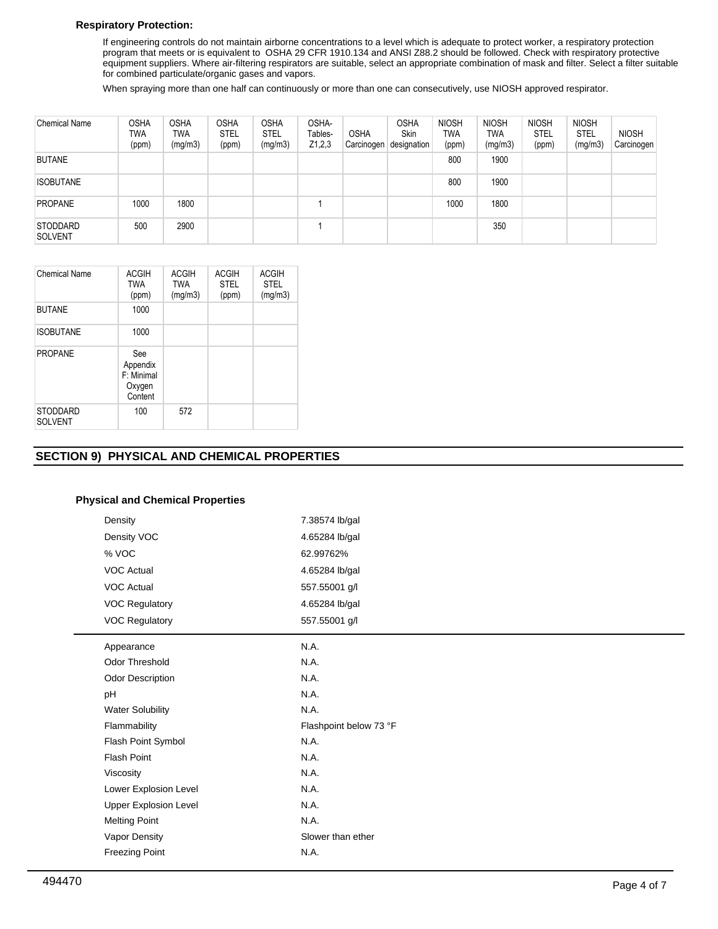# **Respiratory Protection:**

If engineering controls do not maintain airborne concentrations to a level which is adequate to protect worker, a respiratory protection program that meets or is equivalent to OSHA 29 CFR 1910.134 and ANSI Z88.2 should be followed. Check with respiratory protective equipment suppliers. Where air-filtering respirators are suitable, select an appropriate combination of mask and filter. Select a filter suitable for combined particulate/organic gases and vapors.

When spraying more than one half can continuously or more than one can consecutively, use NIOSH approved respirator.

| <b>Chemical Name</b>              | <b>OSHA</b><br>TWA<br>(ppm) | <b>OSHA</b><br><b>TWA</b><br>(mg/m3) | <b>OSHA</b><br><b>STEL</b><br>(ppm) | <b>OSHA</b><br><b>STEL</b><br>(mg/m3) | OSHA-<br>Tables-<br>Z1,2,3 | <b>OSHA</b><br>Carcinogen | <b>OSHA</b><br><b>Skin</b><br>designation | <b>NIOSH</b><br><b>TWA</b><br>(ppm) | <b>NIOSH</b><br>TWA<br>(mg/m3) | <b>NIOSH</b><br><b>STEL</b><br>(ppm) | <b>NIOSH</b><br><b>STEL</b><br>(mg/m3) | <b>NIOSH</b><br>Carcinogen |
|-----------------------------------|-----------------------------|--------------------------------------|-------------------------------------|---------------------------------------|----------------------------|---------------------------|-------------------------------------------|-------------------------------------|--------------------------------|--------------------------------------|----------------------------------------|----------------------------|
| <b>BUTANE</b>                     |                             |                                      |                                     |                                       |                            |                           |                                           | 800                                 | 1900                           |                                      |                                        |                            |
| <b>ISOBUTANE</b>                  |                             |                                      |                                     |                                       |                            |                           |                                           | 800                                 | 1900                           |                                      |                                        |                            |
| <b>PROPANE</b>                    | 1000                        | 1800                                 |                                     |                                       |                            |                           |                                           | 1000                                | 1800                           |                                      |                                        |                            |
| <b>STODDARD</b><br><b>SOLVENT</b> | 500                         | 2900                                 |                                     |                                       |                            |                           |                                           |                                     | 350                            |                                      |                                        |                            |

| <b>Chemical Name</b>              | <b>ACGIH</b><br><b>TWA</b><br>(ppm)                | <b>ACGIH</b><br><b>TWA</b><br>(mg/m3) | <b>ACGIH</b><br><b>STEL</b><br>(ppm) | <b>ACGIH</b><br><b>STEL</b><br>(mg/m3) |
|-----------------------------------|----------------------------------------------------|---------------------------------------|--------------------------------------|----------------------------------------|
| <b>BUTANE</b>                     | 1000                                               |                                       |                                      |                                        |
| <b>ISOBUTANE</b>                  | 1000                                               |                                       |                                      |                                        |
| <b>PROPANE</b>                    | See<br>Appendix<br>F: Minimal<br>Oxygen<br>Content |                                       |                                      |                                        |
| <b>STODDARD</b><br><b>SOLVENT</b> | 100                                                | 572                                   |                                      |                                        |

# **SECTION 9) PHYSICAL AND CHEMICAL PROPERTIES**

## **Physical and Chemical Properties**

| Density                      | 7.38574 lb/gal         |
|------------------------------|------------------------|
| Density VOC                  | 4.65284 lb/gal         |
| % VOC                        | 62.99762%              |
| <b>VOC Actual</b>            | 4.65284 lb/gal         |
| <b>VOC Actual</b>            | 557.55001 g/l          |
| <b>VOC Regulatory</b>        | 4.65284 lb/gal         |
| <b>VOC Regulatory</b>        | 557.55001 g/l          |
| Appearance                   | N.A.                   |
| <b>Odor Threshold</b>        | N.A.                   |
| Odor Description             | N.A.                   |
| pH                           | N.A.                   |
| <b>Water Solubility</b>      | N.A.                   |
| Flammability                 | Flashpoint below 73 °F |
| Flash Point Symbol           | N.A.                   |
| <b>Flash Point</b>           | N.A.                   |
| Viscosity                    | N.A.                   |
| Lower Explosion Level        | N.A.                   |
| <b>Upper Explosion Level</b> | N.A.                   |
| <b>Melting Point</b>         | N.A.                   |
| Vapor Density                | Slower than ether      |
| <b>Freezing Point</b>        | N.A.                   |
|                              |                        |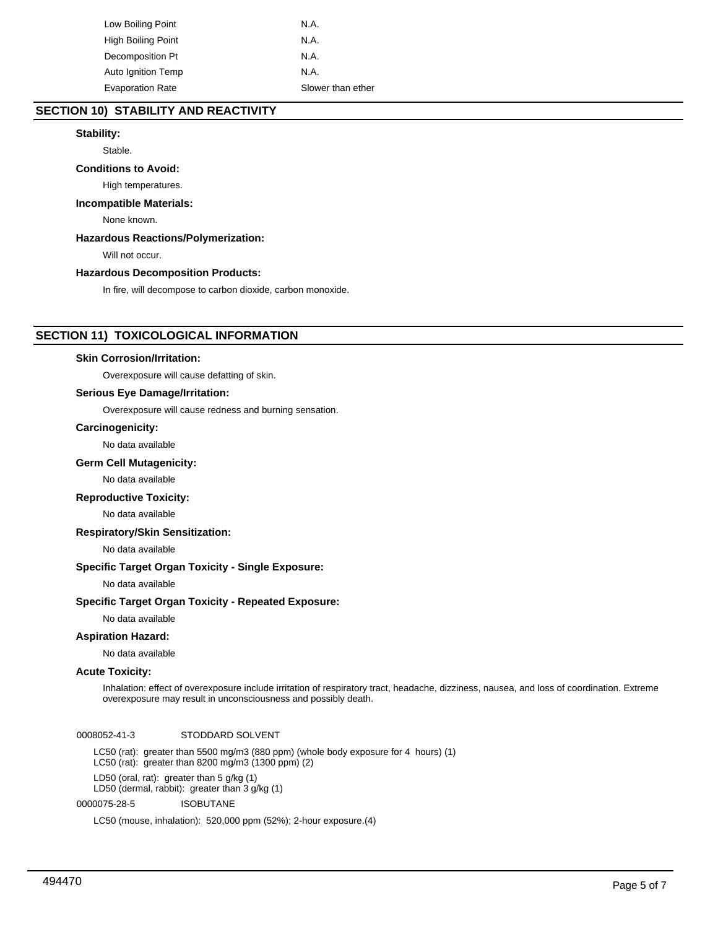| Low Boiling Point         | N.A.              |
|---------------------------|-------------------|
| High Boiling Point        | N.A.              |
| Decomposition Pt          | N.A.              |
| <b>Auto Ignition Temp</b> | N.A.              |
| <b>Evaporation Rate</b>   | Slower than ether |

# **SECTION 10) STABILITY AND REACTIVITY**

# **Stability:**

Stable.

# **Conditions to Avoid:**

High temperatures.

## **Incompatible Materials:**

None known.

# **Hazardous Reactions/Polymerization:**

Will not occur.

# **Hazardous Decomposition Products:**

In fire, will decompose to carbon dioxide, carbon monoxide.

# **SECTION 11) TOXICOLOGICAL INFORMATION**

## **Skin Corrosion/Irritation:**

Overexposure will cause defatting of skin.

# **Serious Eye Damage/Irritation:**

Overexposure will cause redness and burning sensation.

## **Carcinogenicity:**

No data available

## **Germ Cell Mutagenicity:**

No data available

## **Reproductive Toxicity:**

No data available

## **Respiratory/Skin Sensitization:**

No data available

# **Specific Target Organ Toxicity - Single Exposure:**

No data available

## **Specific Target Organ Toxicity - Repeated Exposure:**

No data available

# **Aspiration Hazard:**

No data available

## **Acute Toxicity:**

Inhalation: effect of overexposure include irritation of respiratory tract, headache, dizziness, nausea, and loss of coordination. Extreme overexposure may result in unconsciousness and possibly death.

0008052-41-3 STODDARD SOLVENT

LC50 (rat): greater than 5500 mg/m3 (880 ppm) (whole body exposure for 4 hours) (1) LC50 (rat): greater than 8200 mg/m3 (1300 ppm) (2)

LD50 (oral, rat): greater than 5 g/kg (1)

LD50 (dermal, rabbit): greater than 3 g/kg (1)

0000075-28-5 ISOBUTANE

LC50 (mouse, inhalation): 520,000 ppm (52%); 2-hour exposure.(4)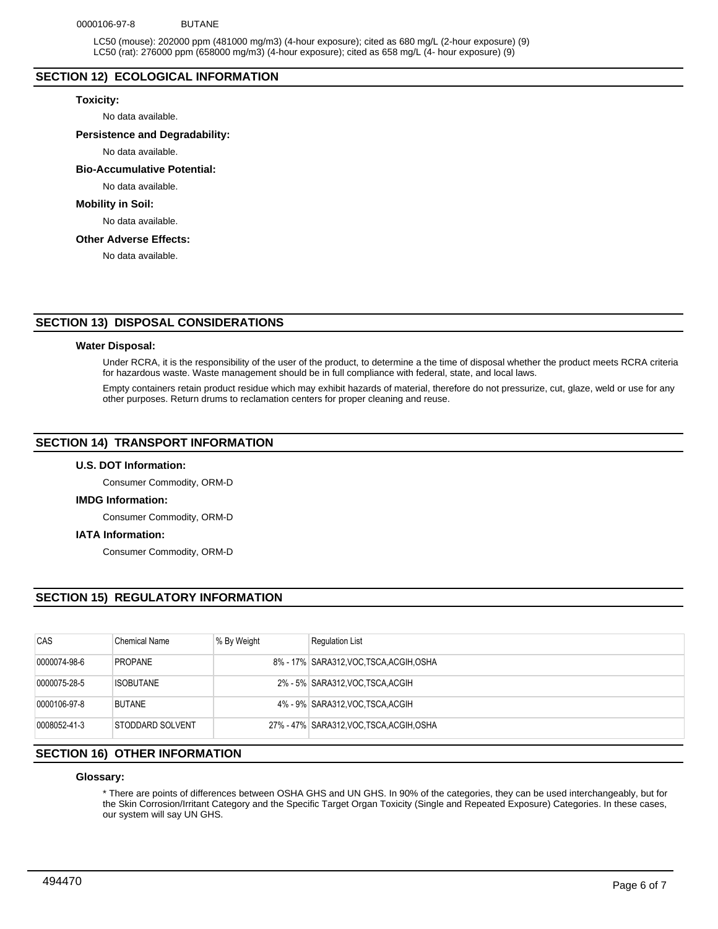## 0000106-97-8 BUTANE

LC50 (mouse): 202000 ppm (481000 mg/m3) (4-hour exposure); cited as 680 mg/L (2-hour exposure) (9) LC50 (rat): 276000 ppm (658000 mg/m3) (4-hour exposure); cited as 658 mg/L (4- hour exposure) (9)

## **SECTION 12) ECOLOGICAL INFORMATION**

#### **Toxicity:**

No data available.

## **Persistence and Degradability:**

No data available.

## **Bio-Accumulative Potential:**

No data available.

#### **Mobility in Soil:**

No data available.

## **Other Adverse Effects:**

No data available.

# **SECTION 13) DISPOSAL CONSIDERATIONS**

#### **Water Disposal:**

Under RCRA, it is the responsibility of the user of the product, to determine a the time of disposal whether the product meets RCRA criteria for hazardous waste. Waste management should be in full compliance with federal, state, and local laws.

Empty containers retain product residue which may exhibit hazards of material, therefore do not pressurize, cut, glaze, weld or use for any other purposes. Return drums to reclamation centers for proper cleaning and reuse.

## **SECTION 14) TRANSPORT INFORMATION**

# **U.S. DOT Information:**

Consumer Commodity, ORM-D

## **IMDG Information:**

Consumer Commodity, ORM-D

#### **IATA Information:**

Consumer Commodity, ORM-D

# **SECTION 15) REGULATORY INFORMATION**

| CAS          | <b>Chemical Name</b> | % By Weight | <b>Regulation List</b>                    |
|--------------|----------------------|-------------|-------------------------------------------|
| 0000074-98-6 | <b>PROPANE</b>       |             | 8% - 17% SARA312, VOC, TSCA, ACGIH, OSHA  |
| 0000075-28-5 | <b>ISOBUTANE</b>     |             | 2% - 5% SARA312, VOC TSCA, ACGIH          |
| 0000106-97-8 | <b>BUTANE</b>        |             | 4% - 9% SARA312, VOC TSCA, ACGIH          |
| 0008052-41-3 | STODDARD SOLVENT     |             | 27% - 47% SARA312, VOC. TSCA, ACGIH, OSHA |

# **SECTION 16) OTHER INFORMATION**

## **Glossary:**

\* There are points of differences between OSHA GHS and UN GHS. In 90% of the categories, they can be used interchangeably, but for the Skin Corrosion/Irritant Category and the Specific Target Organ Toxicity (Single and Repeated Exposure) Categories. In these cases, our system will say UN GHS.